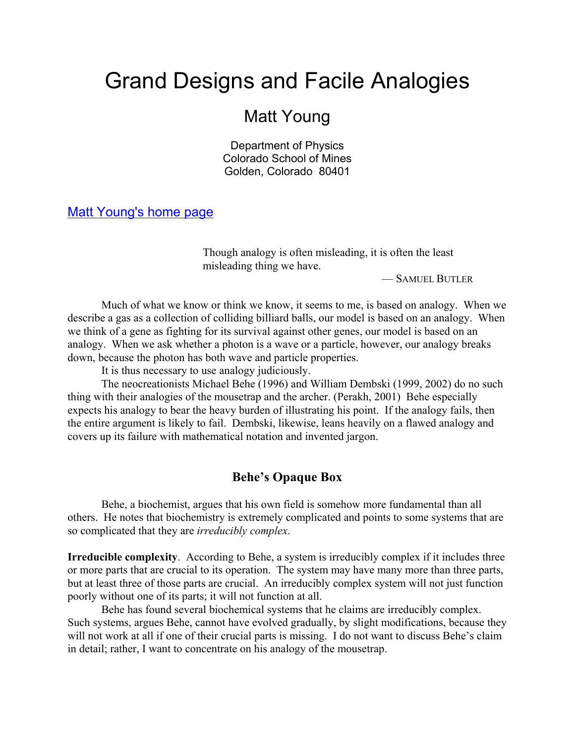# Grand Designs and Facile Analogies

# Matt Young

Department of Physics Colorado School of Mines Golden, Colorado 80401

[Matt Young's home page](www.mines.edu/~mmyoung)

Though analogy is often misleading, it is often the least misleading thing we have.

— SAMUEL BUTLER

Much of what we know or think we know, it seems to me, is based on analogy. When we describe a gas as a collection of colliding billiard balls, our model is based on an analogy. When we think of a gene as fighting for its survival against other genes, our model is based on an analogy. When we ask whether a photon is a wave or a particle, however, our analogy breaks down, because the photon has both wave and particle properties.

It is thus necessary to use analogy judiciously.

The neocreationists Michael Behe (1996) and William Dembski (1999, 2002) do no such thing with their analogies of the mousetrap and the archer. (Perakh, 2001) Behe especially expects his analogy to bear the heavy burden of illustrating his point. If the analogy fails, then the entire argument is likely to fail. Dembski, likewise, leans heavily on a flawed analogy and covers up its failure with mathematical notation and invented jargon.

### **Behe's Opaque Box**

Behe, a biochemist, argues that his own field is somehow more fundamental than all others. He notes that biochemistry is extremely complicated and points to some systems that are so complicated that they are *irreducibly complex*.

**Irreducible complexity**. According to Behe, a system is irreducibly complex if it includes three or more parts that are crucial to its operation. The system may have many more than three parts, but at least three of those parts are crucial. An irreducibly complex system will not just function poorly without one of its parts; it will not function at all.

Behe has found several biochemical systems that he claims are irreducibly complex. Such systems, argues Behe, cannot have evolved gradually, by slight modifications, because they will not work at all if one of their crucial parts is missing. I do not want to discuss Behe's claim in detail; rather, I want to concentrate on his analogy of the mousetrap.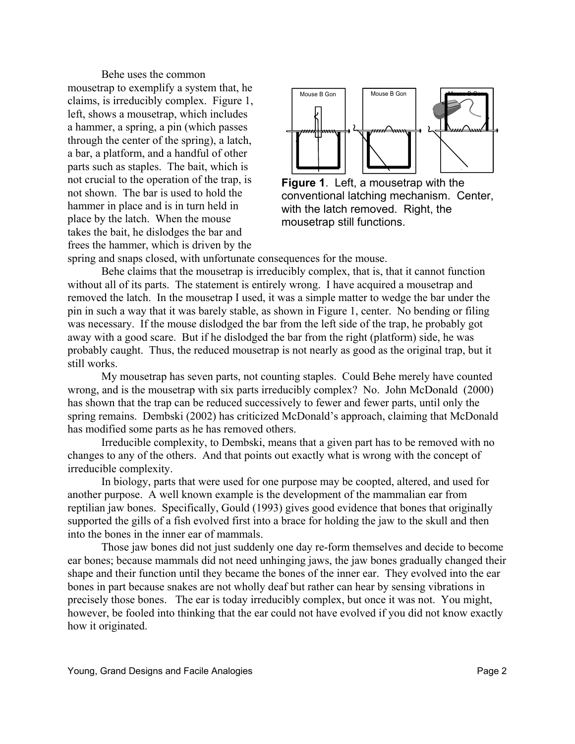Behe uses the common mousetrap to exemplify a system that, he claims, is irreducibly complex. Figure 1, left, shows a mousetrap, which includes a hammer, a spring, a pin (which passes through the center of the spring), a latch, a bar, a platform, and a handful of other parts such as staples. The bait, which is not crucial to the operation of the trap, is not shown. The bar is used to hold the hammer in place and is in turn held in place by the latch. When the mouse takes the bait, he dislodges the bar and frees the hammer, which is driven by the



**Figure 1**. Left, a mousetrap with the conventional latching mechanism. Center, with the latch removed. Right, the mousetrap still functions.

spring and snaps closed, with unfortunate consequences for the mouse.

Behe claims that the mousetrap is irreducibly complex, that is, that it cannot function without all of its parts. The statement is entirely wrong. I have acquired a mousetrap and removed the latch. In the mousetrap I used, it was a simple matter to wedge the bar under the pin in such a way that it was barely stable, as shown in Figure 1, center. No bending or filing was necessary. If the mouse dislodged the bar from the left side of the trap, he probably got away with a good scare. But if he dislodged the bar from the right (platform) side, he was probably caught. Thus, the reduced mousetrap is not nearly as good as the original trap, but it still works.

My mousetrap has seven parts, not counting staples. Could Behe merely have counted wrong, and is the mousetrap with six parts irreducibly complex? No. John McDonald (2000) has shown that the trap can be reduced successively to fewer and fewer parts, until only the spring remains. Dembski (2002) has criticized McDonald's approach, claiming that McDonald has modified some parts as he has removed others.

Irreducible complexity, to Dembski, means that a given part has to be removed with no changes to any of the others. And that points out exactly what is wrong with the concept of irreducible complexity.

In biology, parts that were used for one purpose may be coopted, altered, and used for another purpose. A well known example is the development of the mammalian ear from reptilian jaw bones. Specifically, Gould (1993) gives good evidence that bones that originally supported the gills of a fish evolved first into a brace for holding the jaw to the skull and then into the bones in the inner ear of mammals.

Those jaw bones did not just suddenly one day re-form themselves and decide to become ear bones; because mammals did not need unhinging jaws, the jaw bones gradually changed their shape and their function until they became the bones of the inner ear. They evolved into the ear bones in part because snakes are not wholly deaf but rather can hear by sensing vibrations in precisely those bones. The ear is today irreducibly complex, but once it was not. You might, however, be fooled into thinking that the ear could not have evolved if you did not know exactly how it originated.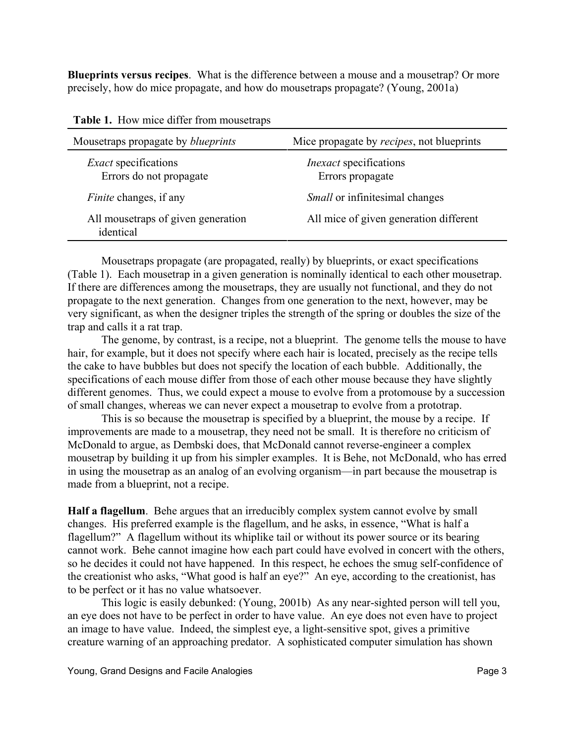**Blueprints versus recipes**. What is the difference between a mouse and a mousetrap? Or more precisely, how do mice propagate, and how do mousetraps propagate? (Young, 2001a)

| Mousetraps propagate by <i>blueprints</i>              | Mice propagate by <i>recipes</i> , not blueprints |  |  |
|--------------------------------------------------------|---------------------------------------------------|--|--|
| <i>Exact</i> specifications<br>Errors do not propagate | <i>Inexact</i> specifications<br>Errors propagate |  |  |
| <i>Finite</i> changes, if any                          | <i>Small</i> or infinitesimal changes             |  |  |
| All mousetraps of given generation<br>identical        | All mice of given generation different            |  |  |

|  |  |  |  |  | Table 1. How mice differ from mousetraps |
|--|--|--|--|--|------------------------------------------|
|--|--|--|--|--|------------------------------------------|

Mousetraps propagate (are propagated, really) by blueprints, or exact specifications (Table 1). Each mousetrap in a given generation is nominally identical to each other mousetrap. If there are differences among the mousetraps, they are usually not functional, and they do not propagate to the next generation. Changes from one generation to the next, however, may be very significant, as when the designer triples the strength of the spring or doubles the size of the trap and calls it a rat trap.

The genome, by contrast, is a recipe, not a blueprint. The genome tells the mouse to have hair, for example, but it does not specify where each hair is located, precisely as the recipe tells the cake to have bubbles but does not specify the location of each bubble. Additionally, the specifications of each mouse differ from those of each other mouse because they have slightly different genomes. Thus, we could expect a mouse to evolve from a protomouse by a succession of small changes, whereas we can never expect a mousetrap to evolve from a prototrap.

This is so because the mousetrap is specified by a blueprint, the mouse by a recipe. If improvements are made to a mousetrap, they need not be small. It is therefore no criticism of McDonald to argue, as Dembski does, that McDonald cannot reverse-engineer a complex mousetrap by building it up from his simpler examples. It is Behe, not McDonald, who has erred in using the mousetrap as an analog of an evolving organism—in part because the mousetrap is made from a blueprint, not a recipe.

**Half a flagellum**. Behe argues that an irreducibly complex system cannot evolve by small changes. His preferred example is the flagellum, and he asks, in essence, "What is half a flagellum?" A flagellum without its whiplike tail or without its power source or its bearing cannot work. Behe cannot imagine how each part could have evolved in concert with the others, so he decides it could not have happened. In this respect, he echoes the smug self-confidence of the creationist who asks, "What good is half an eye?" An eye, according to the creationist, has to be perfect or it has no value whatsoever.

This logic is easily debunked: (Young, 2001b) As any near-sighted person will tell you, an eye does not have to be perfect in order to have value. An eye does not even have to project an image to have value. Indeed, the simplest eye, a light-sensitive spot, gives a primitive creature warning of an approaching predator. A sophisticated computer simulation has shown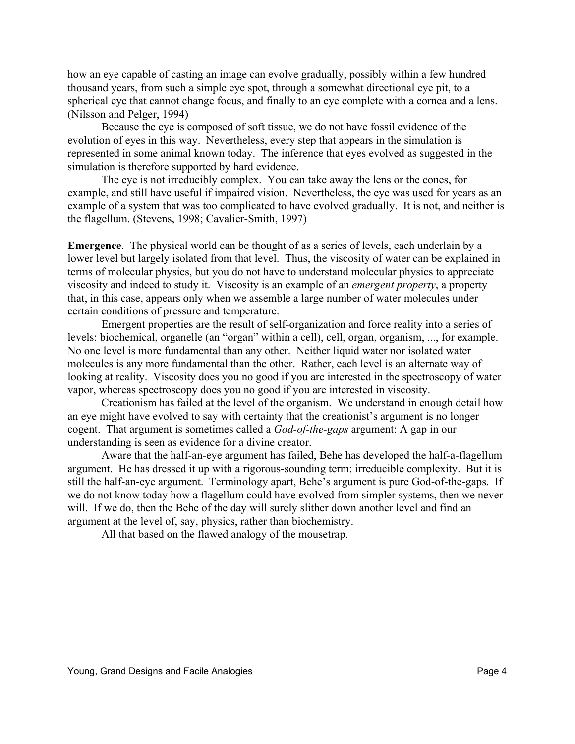how an eye capable of casting an image can evolve gradually, possibly within a few hundred thousand years, from such a simple eye spot, through a somewhat directional eye pit, to a spherical eye that cannot change focus, and finally to an eye complete with a cornea and a lens. (Nilsson and Pelger, 1994)

Because the eye is composed of soft tissue, we do not have fossil evidence of the evolution of eyes in this way. Nevertheless, every step that appears in the simulation is represented in some animal known today. The inference that eyes evolved as suggested in the simulation is therefore supported by hard evidence.

The eye is not irreducibly complex. You can take away the lens or the cones, for example, and still have useful if impaired vision. Nevertheless, the eye was used for years as an example of a system that was too complicated to have evolved gradually. It is not, and neither is the flagellum. (Stevens, 1998; Cavalier-Smith, 1997)

**Emergence**. The physical world can be thought of as a series of levels, each underlain by a lower level but largely isolated from that level. Thus, the viscosity of water can be explained in terms of molecular physics, but you do not have to understand molecular physics to appreciate viscosity and indeed to study it. Viscosity is an example of an *emergent property*, a property that, in this case, appears only when we assemble a large number of water molecules under certain conditions of pressure and temperature.

Emergent properties are the result of self-organization and force reality into a series of levels: biochemical, organelle (an "organ" within a cell), cell, organ, organism, ..., for example. No one level is more fundamental than any other. Neither liquid water nor isolated water molecules is any more fundamental than the other. Rather, each level is an alternate way of looking at reality. Viscosity does you no good if you are interested in the spectroscopy of water vapor, whereas spectroscopy does you no good if you are interested in viscosity.

Creationism has failed at the level of the organism. We understand in enough detail how an eye might have evolved to say with certainty that the creationist's argument is no longer cogent. That argument is sometimes called a *God-of-the-gaps* argument: A gap in our understanding is seen as evidence for a divine creator.

Aware that the half-an-eye argument has failed, Behe has developed the half-a-flagellum argument. He has dressed it up with a rigorous-sounding term: irreducible complexity. But it is still the half-an-eye argument. Terminology apart, Behe's argument is pure God-of-the-gaps. If we do not know today how a flagellum could have evolved from simpler systems, then we never will. If we do, then the Behe of the day will surely slither down another level and find an argument at the level of, say, physics, rather than biochemistry.

All that based on the flawed analogy of the mousetrap.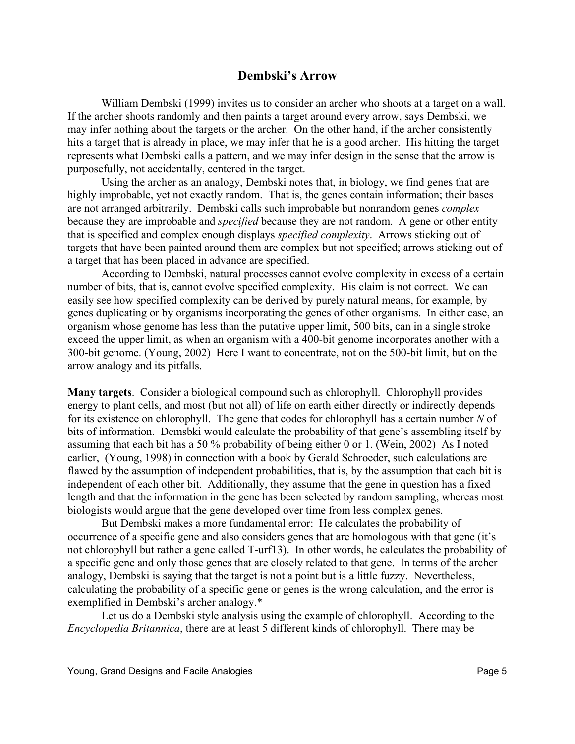#### **Dembski's Arrow**

William Dembski (1999) invites us to consider an archer who shoots at a target on a wall. If the archer shoots randomly and then paints a target around every arrow, says Dembski, we may infer nothing about the targets or the archer. On the other hand, if the archer consistently hits a target that is already in place, we may infer that he is a good archer. His hitting the target represents what Dembski calls a pattern, and we may infer design in the sense that the arrow is purposefully, not accidentally, centered in the target.

Using the archer as an analogy, Dembski notes that, in biology, we find genes that are highly improbable, yet not exactly random. That is, the genes contain information; their bases are not arranged arbitrarily. Dembski calls such improbable but nonrandom genes *complex* because they are improbable and *specified* because they are not random. A gene or other entity that is specified and complex enough displays *specified complexity*. Arrows sticking out of targets that have been painted around them are complex but not specified; arrows sticking out of a target that has been placed in advance are specified.

According to Dembski, natural processes cannot evolve complexity in excess of a certain number of bits, that is, cannot evolve specified complexity. His claim is not correct. We can easily see how specified complexity can be derived by purely natural means, for example, by genes duplicating or by organisms incorporating the genes of other organisms. In either case, an organism whose genome has less than the putative upper limit, 500 bits, can in a single stroke exceed the upper limit, as when an organism with a 400-bit genome incorporates another with a 300-bit genome. (Young, 2002) Here I want to concentrate, not on the 500-bit limit, but on the arrow analogy and its pitfalls.

**Many targets**. Consider a biological compound such as chlorophyll. Chlorophyll provides energy to plant cells, and most (but not all) of life on earth either directly or indirectly depends for its existence on chlorophyll. The gene that codes for chlorophyll has a certain number *N* of bits of information. Demsbki would calculate the probability of that gene's assembling itself by assuming that each bit has a 50 % probability of being either 0 or 1. (Wein, 2002) As I noted earlier, (Young, 1998) in connection with a book by Gerald Schroeder, such calculations are flawed by the assumption of independent probabilities, that is, by the assumption that each bit is independent of each other bit. Additionally, they assume that the gene in question has a fixed length and that the information in the gene has been selected by random sampling, whereas most biologists would argue that the gene developed over time from less complex genes.

But Dembski makes a more fundamental error: He calculates the probability of occurrence of a specific gene and also considers genes that are homologous with that gene (it's not chlorophyll but rather a gene called T-urf13). In other words, he calculates the probability of a specific gene and only those genes that are closely related to that gene. In terms of the archer analogy, Dembski is saying that the target is not a point but is a little fuzzy. Nevertheless, calculating the probability of a specific gene or genes is the wrong calculation, and the error is exemplified in Dembski's archer analogy.\*

Let us do a Dembski style analysis using the example of chlorophyll. According to the *Encyclopedia Britannica*, there are at least 5 different kinds of chlorophyll. There may be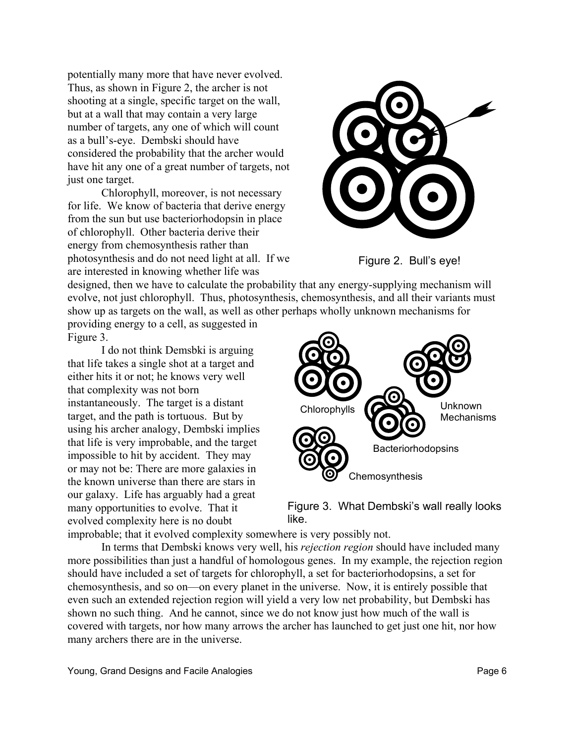potentially many more that have never evolved. Thus, as shown in Figure 2, the archer is not shooting at a single, specific target on the wall, but at a wall that may contain a very large number of targets, any one of which will count as a bull's-eye. Dembski should have considered the probability that the archer would have hit any one of a great number of targets, not just one target.

Chlorophyll, moreover, is not necessary for life. We know of bacteria that derive energy from the sun but use bacteriorhodopsin in place of chlorophyll. Other bacteria derive their energy from chemosynthesis rather than photosynthesis and do not need light at all. If we are interested in knowing whether life was





designed, then we have to calculate the probability that any energy-supplying mechanism will evolve, not just chlorophyll. Thus, photosynthesis, chemosynthesis, and all their variants must show up as targets on the wall, as well as other perhaps wholly unknown mechanisms for providing energy to a cell, as suggested in

Figure 3.

I do not think Demsbki is arguing that life takes a single shot at a target and either hits it or not; he knows very well that complexity was not born instantaneously. The target is a distant target, and the path is tortuous. But by using his archer analogy, Dembski implies that life is very improbable, and the target impossible to hit by accident. They may or may not be: There are more galaxies in the known universe than there are stars in our galaxy. Life has arguably had a great many opportunities to evolve. That it evolved complexity here is no doubt



Figure 3. What Dembski's wall really looks like.

improbable; that it evolved complexity somewhere is very possibly not.

In terms that Dembski knows very well, his *rejection region* should have included many more possibilities than just a handful of homologous genes. In my example, the rejection region should have included a set of targets for chlorophyll, a set for bacteriorhodopsins, a set for chemosynthesis, and so on—on every planet in the universe. Now, it is entirely possible that even such an extended rejection region will yield a very low net probability, but Dembski has shown no such thing. And he cannot, since we do not know just how much of the wall is covered with targets, nor how many arrows the archer has launched to get just one hit, nor how many archers there are in the universe.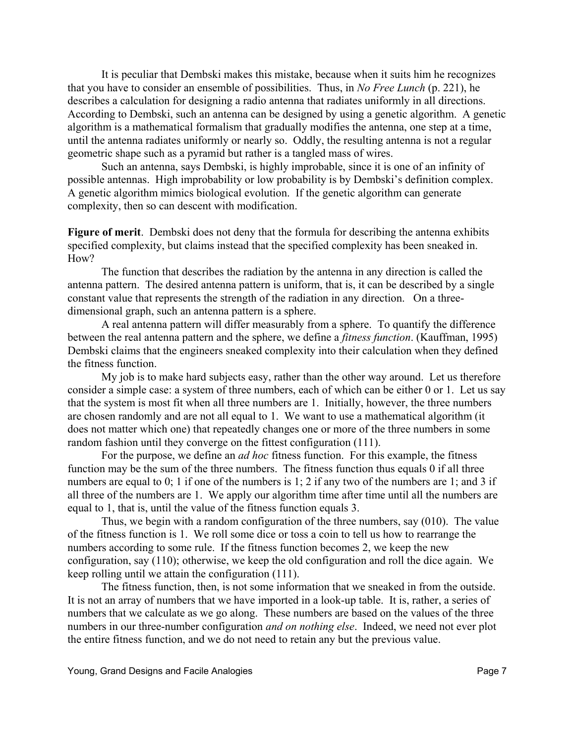It is peculiar that Dembski makes this mistake, because when it suits him he recognizes that you have to consider an ensemble of possibilities. Thus, in *No Free Lunch* (p. 221), he describes a calculation for designing a radio antenna that radiates uniformly in all directions. According to Dembski, such an antenna can be designed by using a genetic algorithm. A genetic algorithm is a mathematical formalism that gradually modifies the antenna, one step at a time, until the antenna radiates uniformly or nearly so. Oddly, the resulting antenna is not a regular geometric shape such as a pyramid but rather is a tangled mass of wires.

Such an antenna, says Dembski, is highly improbable, since it is one of an infinity of possible antennas. High improbability or low probability is by Dembski's definition complex. A genetic algorithm mimics biological evolution. If the genetic algorithm can generate complexity, then so can descent with modification.

**Figure of merit**. Dembski does not deny that the formula for describing the antenna exhibits specified complexity, but claims instead that the specified complexity has been sneaked in. H<sub>ow</sub>?

The function that describes the radiation by the antenna in any direction is called the antenna pattern. The desired antenna pattern is uniform, that is, it can be described by a single constant value that represents the strength of the radiation in any direction. On a threedimensional graph, such an antenna pattern is a sphere.

A real antenna pattern will differ measurably from a sphere. To quantify the difference between the real antenna pattern and the sphere, we define a *fitness function*. (Kauffman, 1995) Dembski claims that the engineers sneaked complexity into their calculation when they defined the fitness function.

My job is to make hard subjects easy, rather than the other way around. Let us therefore consider a simple case: a system of three numbers, each of which can be either 0 or 1. Let us say that the system is most fit when all three numbers are 1. Initially, however, the three numbers are chosen randomly and are not all equal to 1. We want to use a mathematical algorithm (it does not matter which one) that repeatedly changes one or more of the three numbers in some random fashion until they converge on the fittest configuration (111).

For the purpose, we define an *ad hoc* fitness function. For this example, the fitness function may be the sum of the three numbers. The fitness function thus equals 0 if all three numbers are equal to 0; 1 if one of the numbers is 1; 2 if any two of the numbers are 1; and 3 if all three of the numbers are 1. We apply our algorithm time after time until all the numbers are equal to 1, that is, until the value of the fitness function equals 3.

Thus, we begin with a random configuration of the three numbers, say (010). The value of the fitness function is 1. We roll some dice or toss a coin to tell us how to rearrange the numbers according to some rule. If the fitness function becomes 2, we keep the new configuration, say (110); otherwise, we keep the old configuration and roll the dice again. We keep rolling until we attain the configuration (111).

The fitness function, then, is not some information that we sneaked in from the outside. It is not an array of numbers that we have imported in a look-up table. It is, rather, a series of numbers that we calculate as we go along. These numbers are based on the values of the three numbers in our three-number configuration *and on nothing else*. Indeed, we need not ever plot the entire fitness function, and we do not need to retain any but the previous value.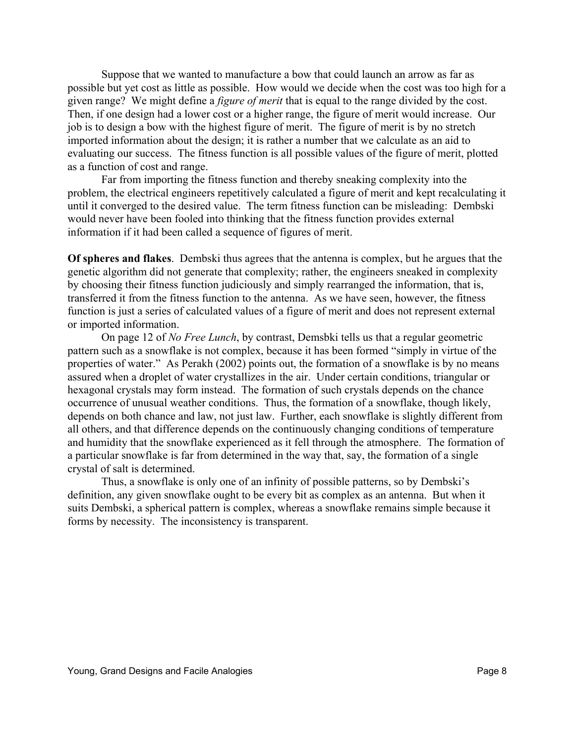Suppose that we wanted to manufacture a bow that could launch an arrow as far as possible but yet cost as little as possible. How would we decide when the cost was too high for a given range? We might define a *figure of merit* that is equal to the range divided by the cost. Then, if one design had a lower cost or a higher range, the figure of merit would increase. Our job is to design a bow with the highest figure of merit. The figure of merit is by no stretch imported information about the design; it is rather a number that we calculate as an aid to evaluating our success. The fitness function is all possible values of the figure of merit, plotted as a function of cost and range.

Far from importing the fitness function and thereby sneaking complexity into the problem, the electrical engineers repetitively calculated a figure of merit and kept recalculating it until it converged to the desired value. The term fitness function can be misleading: Dembski would never have been fooled into thinking that the fitness function provides external information if it had been called a sequence of figures of merit.

**Of spheres and flakes**. Dembski thus agrees that the antenna is complex, but he argues that the genetic algorithm did not generate that complexity; rather, the engineers sneaked in complexity by choosing their fitness function judiciously and simply rearranged the information, that is, transferred it from the fitness function to the antenna. As we have seen, however, the fitness function is just a series of calculated values of a figure of merit and does not represent external or imported information.

On page 12 of *No Free Lunch*, by contrast, Demsbki tells us that a regular geometric pattern such as a snowflake is not complex, because it has been formed "simply in virtue of the properties of water." As Perakh (2002) points out, the formation of a snowflake is by no means assured when a droplet of water crystallizes in the air. Under certain conditions, triangular or hexagonal crystals may form instead. The formation of such crystals depends on the chance occurrence of unusual weather conditions. Thus, the formation of a snowflake, though likely, depends on both chance and law, not just law. Further, each snowflake is slightly different from all others, and that difference depends on the continuously changing conditions of temperature and humidity that the snowflake experienced as it fell through the atmosphere. The formation of a particular snowflake is far from determined in the way that, say, the formation of a single crystal of salt is determined.

Thus, a snowflake is only one of an infinity of possible patterns, so by Dembski's definition, any given snowflake ought to be every bit as complex as an antenna. But when it suits Dembski, a spherical pattern is complex, whereas a snowflake remains simple because it forms by necessity. The inconsistency is transparent.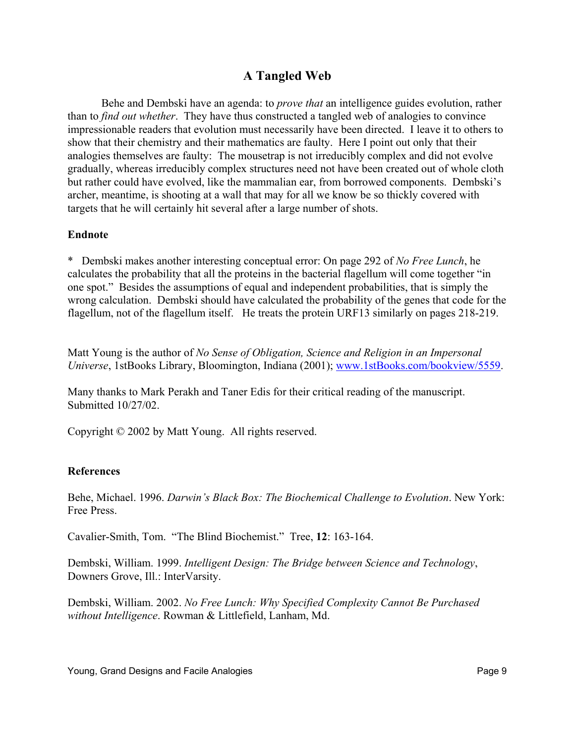## **A Tangled Web**

Behe and Dembski have an agenda: to *prove that* an intelligence guides evolution, rather than to *find out whether*. They have thus constructed a tangled web of analogies to convince impressionable readers that evolution must necessarily have been directed. I leave it to others to show that their chemistry and their mathematics are faulty. Here I point out only that their analogies themselves are faulty: The mousetrap is not irreducibly complex and did not evolve gradually, whereas irreducibly complex structures need not have been created out of whole cloth but rather could have evolved, like the mammalian ear, from borrowed components. Dembski's archer, meantime, is shooting at a wall that may for all we know be so thickly covered with targets that he will certainly hit several after a large number of shots.

#### **Endnote**

\* Dembski makes another interesting conceptual error: On page 292 of *No Free Lunch*, he calculates the probability that all the proteins in the bacterial flagellum will come together "in one spot." Besides the assumptions of equal and independent probabilities, that is simply the wrong calculation. Dembski should have calculated the probability of the genes that code for the flagellum, not of the flagellum itself. He treats the protein URF13 similarly on pages 218-219.

Matt Young is the author of *No Sense of Obligation, Science and Religion in an Impersonal Universe*, 1stBooks Library, Bloomington, Indiana (2001); [www.1stBooks.com/bookview/5559.](www.1stBooks.com/bookview/5559)

Many thanks to Mark Perakh and Taner Edis for their critical reading of the manuscript. Submitted 10/27/02.

Copyright © 2002 by Matt Young. All rights reserved.

#### **References**

Behe, Michael. 1996. *Darwin's Black Box: The Biochemical Challenge to Evolution*. New York: Free Press.

Cavalier-Smith, Tom. "The Blind Biochemist." Tree, **12**: 163-164.

Dembski, William. 1999. *Intelligent Design: The Bridge between Science and Technology*, Downers Grove, Ill.: InterVarsity.

Dembski, William. 2002. *No Free Lunch: Why Specified Complexity Cannot Be Purchased without Intelligence*. Rowman & Littlefield, Lanham, Md.